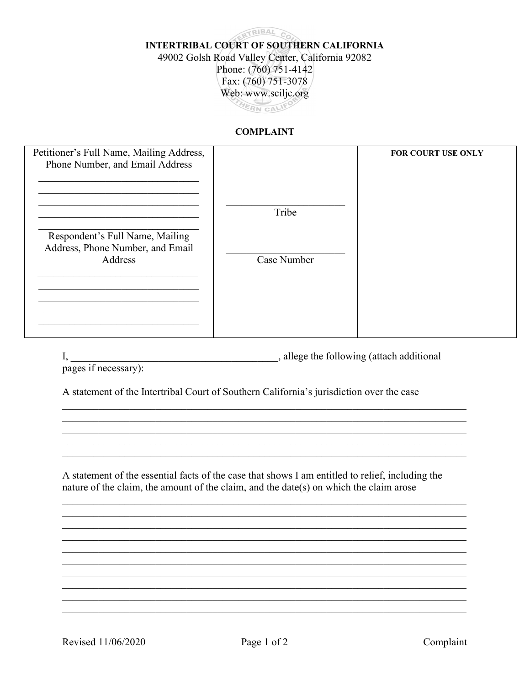## CRIBAL CO **INTERTRIBAL COURT OF SOUTHERN CALIFORNIA** 49002 Golsh Road Valley Center, California 92082 Phone: (760) 751-4142 Fax: (760) 751-3078 Web: www.sciljc.org HERN CALIFO

## **COMPLAINT**

| Petitioner's Full Name, Mailing Address,                            |             | FOR COURT USE ONLY |
|---------------------------------------------------------------------|-------------|--------------------|
| Phone Number, and Email Address                                     |             |                    |
|                                                                     | Tribe       |                    |
| Respondent's Full Name, Mailing<br>Address, Phone Number, and Email |             |                    |
| Address                                                             | Case Number |                    |
|                                                                     |             |                    |
|                                                                     |             |                    |

|  | , allege the following (attach additional |  |
|--|-------------------------------------------|--|
|  |                                           |  |

pages if necessary):

A statement of the Intertribal Court of Southern California's jurisdiction over the case

A statement of the essential facts of the case that shows I am entitled to relief, including the nature of the claim, the amount of the claim, and the date(s) on which the claim arose

Complaint